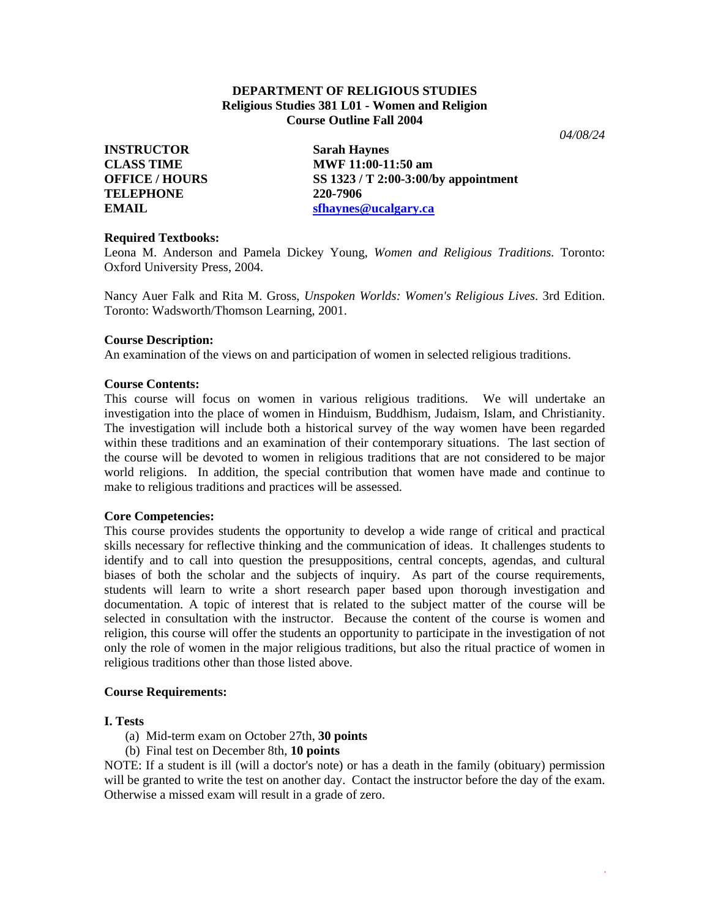### **DEPARTMENT OF RELIGIOUS STUDIES Religious Studies 381 L01 - Women and Religion Course Outline Fall 2004**

*04/08/24* 

**INSTRUCTOR Sarah Haynes TELEPHONE 220-7906** 

**CLASS TIME MWF 11:00-11:50 am OFFICE / HOURS SS 1323 / T 2:00-3:00/by appointment EMAIL [sfhaynes@ucalgary.ca](mailto:sfhaynes@ucalgary.ca)**

### **Required Textbooks:**

Leona M. Anderson and Pamela Dickey Young, *Women and Religious Traditions.* Toronto: Oxford University Press, 2004.

Nancy Auer Falk and Rita M. Gross, *Unspoken Worlds: Women's Religious Lives*. 3rd Edition. Toronto: Wadsworth/Thomson Learning, 2001.

### **Course Description:**

An examination of the views on and participation of women in selected religious traditions.

### **Course Contents:**

This course will focus on women in various religious traditions. We will undertake an investigation into the place of women in Hinduism, Buddhism, Judaism, Islam, and Christianity. The investigation will include both a historical survey of the way women have been regarded within these traditions and an examination of their contemporary situations. The last section of the course will be devoted to women in religious traditions that are not considered to be major world religions. In addition, the special contribution that women have made and continue to make to religious traditions and practices will be assessed.

### **Core Competencies:**

This course provides students the opportunity to develop a wide range of critical and practical skills necessary for reflective thinking and the communication of ideas. It challenges students to identify and to call into question the presuppositions, central concepts, agendas, and cultural biases of both the scholar and the subjects of inquiry. As part of the course requirements, students will learn to write a short research paper based upon thorough investigation and documentation. A topic of interest that is related to the subject matter of the course will be selected in consultation with the instructor. Because the content of the course is women and religion, this course will offer the students an opportunity to participate in the investigation of not only the role of women in the major religious traditions, but also the ritual practice of women in religious traditions other than those listed above.

### **Course Requirements:**

### **I. Tests**

- (a) Mid-term exam on October 27th, **30 points**
- (b) Final test on December 8th, **10 points**

NOTE: If a student is ill (will a doctor's note) or has a death in the family (obituary) permission will be granted to write the test on another day. Contact the instructor before the day of the exam. Otherwise a missed exam will result in a grade of zero.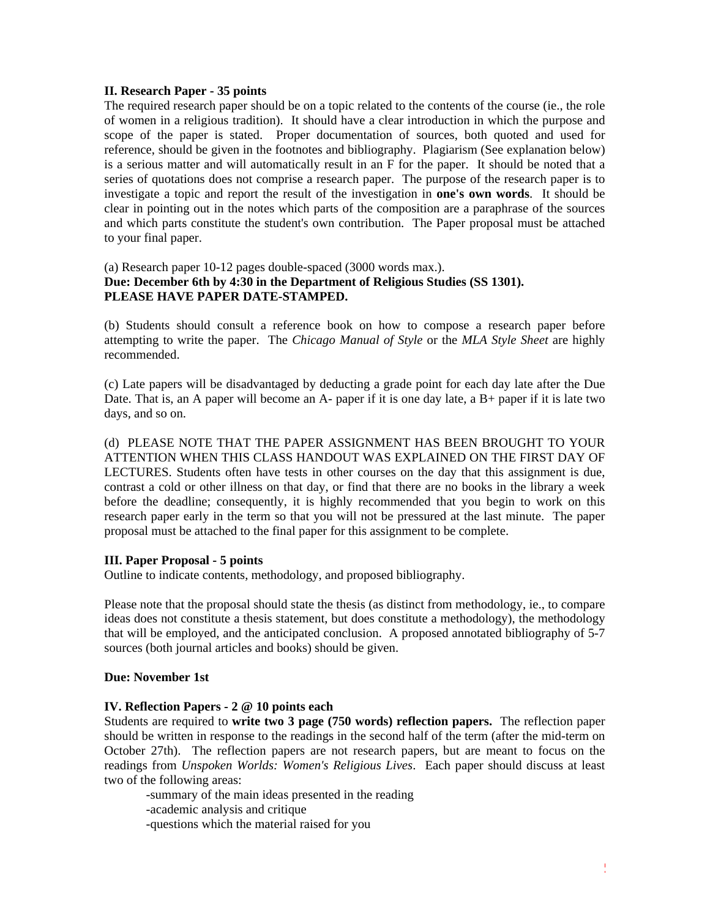### **II. Research Paper - 35 points**

The required research paper should be on a topic related to the contents of the course (ie., the role of women in a religious tradition). It should have a clear introduction in which the purpose and scope of the paper is stated. Proper documentation of sources, both quoted and used for reference, should be given in the footnotes and bibliography. Plagiarism (See explanation below) is a serious matter and will automatically result in an F for the paper. It should be noted that a series of quotations does not comprise a research paper. The purpose of the research paper is to investigate a topic and report the result of the investigation in **one's own words**. It should be clear in pointing out in the notes which parts of the composition are a paraphrase of the sources and which parts constitute the student's own contribution. The Paper proposal must be attached to your final paper.

# (a) Research paper 10-12 pages double-spaced (3000 words max.). **Due: December 6th by 4:30 in the Department of Religious Studies (SS 1301). PLEASE HAVE PAPER DATE-STAMPED.**

(b) Students should consult a reference book on how to compose a research paper before attempting to write the paper. The *Chicago Manual of Style* or the *MLA Style Sheet* are highly recommended.

(c) Late papers will be disadvantaged by deducting a grade point for each day late after the Due Date. That is, an A paper will become an A- paper if it is one day late, a B+ paper if it is late two days, and so on.

(d) PLEASE NOTE THAT THE PAPER ASSIGNMENT HAS BEEN BROUGHT TO YOUR ATTENTION WHEN THIS CLASS HANDOUT WAS EXPLAINED ON THE FIRST DAY OF LECTURES. Students often have tests in other courses on the day that this assignment is due, contrast a cold or other illness on that day, or find that there are no books in the library a week before the deadline; consequently, it is highly recommended that you begin to work on this research paper early in the term so that you will not be pressured at the last minute. The paper proposal must be attached to the final paper for this assignment to be complete.

### **III. Paper Proposal - 5 points**

Outline to indicate contents, methodology, and proposed bibliography.

Please note that the proposal should state the thesis (as distinct from methodology, ie., to compare ideas does not constitute a thesis statement, but does constitute a methodology), the methodology that will be employed, and the anticipated conclusion. A proposed annotated bibliography of 5-7 sources (both journal articles and books) should be given.

### **Due: November 1st**

## **IV. Reflection Papers - 2 @ 10 points each**

Students are required to **write two 3 page (750 words) reflection papers.** The reflection paper should be written in response to the readings in the second half of the term (after the mid-term on October 27th). The reflection papers are not research papers, but are meant to focus on the readings from *Unspoken Worlds: Women's Religious Lives*. Each paper should discuss at least two of the following areas:

-summary of the main ideas presented in the reading

-academic analysis and critique

-questions which the material raised for you